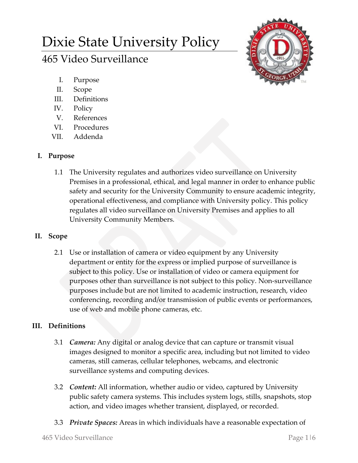# Dixie State University Policy

## 465 Video Surveillance



- I. Purpose
- II. Scope
- III. Definitions
- IV. Policy
- V. References
- VI. Procedures
- VII. Addenda

## **I. Purpose**

1.1 The University regulates and authorizes video surveillance on University Premises in a professional, ethical, and legal manner in order to enhance public safety and security for the University Community to ensure academic integrity, operational effectiveness, and compliance with University policy. This policy regulates all video surveillance on University Premises and applies to all University Community Members.

## **II. Scope**

2.1 Use or installation of camera or video equipment by any University department or entity for the express or implied purpose of surveillance is subject to this policy. Use or installation of video or camera equipment for purposes other than surveillance is not subject to this policy. Non-surveillance purposes include but are not limited to academic instruction, research, video conferencing, recording and/or transmission of public events or performances, use of web and mobile phone cameras, etc.

## **III. Definitions**

- 3.1 *Camera:* Any digital or analog device that can capture or transmit visual images designed to monitor a specific area, including but not limited to video cameras, still cameras, cellular telephones, webcams, and electronic surveillance systems and computing devices.
- 3.2 *Content:* All information, whether audio or video, captured by University public safety camera systems. This includes system logs, stills, snapshots, stop action, and video images whether transient, displayed, or recorded.
- 3.3 *Private Spaces:* Areas in which individuals have a reasonable expectation of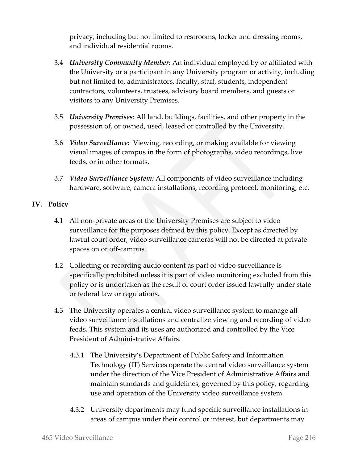privacy, including but not limited to restrooms, locker and dressing rooms, and individual residential rooms.

- 3.4 *University Community Member:* An individual employed by or affiliated with the University or a participant in any University program or activity, including but not limited to, administrators, faculty, staff, students, independent contractors, volunteers, trustees, advisory board members, and guests or visitors to any University Premises.
- 3.5 *University Premises*: All land, buildings, facilities, and other property in the possession of, or owned, used, leased or controlled by the University.
- 3.6 *Video Surveillance:* Viewing, recording, or making available for viewing visual images of campus in the form of photographs, video recordings, live feeds, or in other formats.
- 3.7 *Video Surveillance System:* All components of video surveillance including hardware, software, camera installations, recording protocol, monitoring, etc.

### **IV. Policy**

- 4.1 All non-private areas of the University Premises are subject to video surveillance for the purposes defined by this policy. Except as directed by lawful court order, video surveillance cameras will not be directed at private spaces on or off-campus.
- 4.2 Collecting or recording audio content as part of video surveillance is specifically prohibited unless it is part of video monitoring excluded from this policy or is undertaken as the result of court order issued lawfully under state or federal law or regulations.
- 4.3 The University operates a central video surveillance system to manage all video surveillance installations and centralize viewing and recording of video feeds. This system and its uses are authorized and controlled by the Vice President of Administrative Affairs.
	- 4.3.1 The University's Department of Public Safety and Information Technology (IT) Services operate the central video surveillance system under the direction of the Vice President of Administrative Affairs and maintain standards and guidelines, governed by this policy, regarding use and operation of the University video surveillance system.
	- 4.3.2 University departments may fund specific surveillance installations in areas of campus under their control or interest, but departments may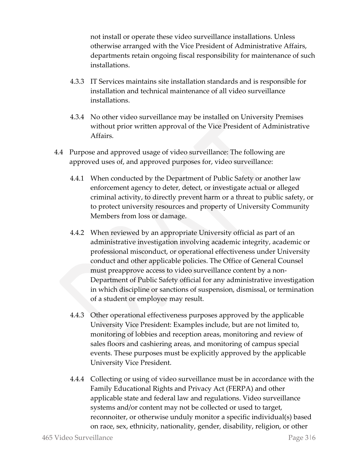not install or operate these video surveillance installations. Unless otherwise arranged with the Vice President of Administrative Affairs, departments retain ongoing fiscal responsibility for maintenance of such installations.

- 4.3.3 IT Services maintains site installation standards and is responsible for installation and technical maintenance of all video surveillance installations.
- 4.3.4 No other video surveillance may be installed on University Premises without prior written approval of the Vice President of Administrative Affairs.
- 4.4 Purpose and approved usage of video surveillance: The following are approved uses of, and approved purposes for, video surveillance:
	- 4.4.1 When conducted by the Department of Public Safety or another law enforcement agency to deter, detect, or investigate actual or alleged criminal activity, to directly prevent harm or a threat to public safety, or to protect university resources and property of University Community Members from loss or damage.
	- 4.4.2 When reviewed by an appropriate University official as part of an administrative investigation involving academic integrity, academic or professional misconduct, or operational effectiveness under University conduct and other applicable policies. The Office of General Counsel must preapprove access to video surveillance content by a non-Department of Public Safety official for any administrative investigation in which discipline or sanctions of suspension, dismissal, or termination of a student or employee may result.
	- 4.4.3 Other operational effectiveness purposes approved by the applicable University Vice President: Examples include, but are not limited to, monitoring of lobbies and reception areas, monitoring and review of sales floors and cashiering areas, and monitoring of campus special events. These purposes must be explicitly approved by the applicable University Vice President.
	- 4.4.4 Collecting or using of video surveillance must be in accordance with the Family Educational Rights and Privacy Act (FERPA) and other applicable state and federal law and regulations. Video surveillance systems and/or content may not be collected or used to target, reconnoiter, or otherwise unduly monitor a specific individual(s) based on race, sex, ethnicity, nationality, gender, disability, religion, or other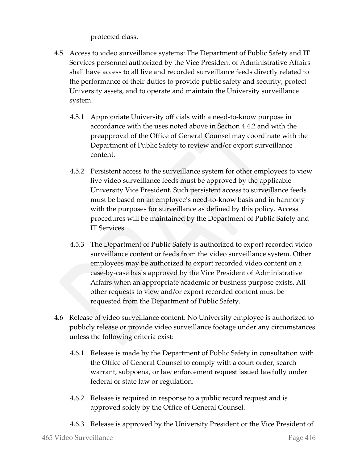protected class.

- 4.5 Access to video surveillance systems: The Department of Public Safety and IT Services personnel authorized by the Vice President of Administrative Affairs shall have access to all live and recorded surveillance feeds directly related to the performance of their duties to provide public safety and security, protect University assets, and to operate and maintain the University surveillance system.
	- 4.5.1 Appropriate University officials with a need-to-know purpose in accordance with the uses noted above in Section 4.4.2 and with the preapproval of the Office of General Counsel may coordinate with the Department of Public Safety to review and/or export surveillance content.
	- 4.5.2 Persistent access to the surveillance system for other employees to view live video surveillance feeds must be approved by the applicable University Vice President. Such persistent access to surveillance feeds must be based on an employee's need-to-know basis and in harmony with the purposes for surveillance as defined by this policy. Access procedures will be maintained by the Department of Public Safety and IT Services.
	- 4.5.3 The Department of Public Safety is authorized to export recorded video surveillance content or feeds from the video surveillance system. Other employees may be authorized to export recorded video content on a case-by-case basis approved by the Vice President of Administrative Affairs when an appropriate academic or business purpose exists. All other requests to view and/or export recorded content must be requested from the Department of Public Safety.
- 4.6 Release of video surveillance content: No University employee is authorized to publicly release or provide video surveillance footage under any circumstances unless the following criteria exist:
	- 4.6.1 Release is made by the Department of Public Safety in consultation with the Office of General Counsel to comply with a court order, search warrant, subpoena, or law enforcement request issued lawfully under federal or state law or regulation.
	- 4.6.2 Release is required in response to a public record request and is approved solely by the Office of General Counsel.
	- 4.6.3 Release is approved by the University President or the Vice President of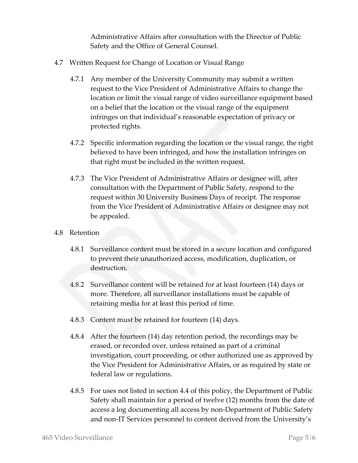Administrative Affairs after consultation with the Director of Public Safety and the Office of General Counsel.

- 4.7 Written Request for Change of Location or Visual Range
	- 4.7.1 Any member of the University Community may submit a written request to the Vice President of Administrative Affairs to change the location or limit the visual range of video surveillance equipment based on a belief that the location or the visual range of the equipment infringes on that individual's reasonable expectation of privacy or protected rights.
	- 4.7.2 Specific information regarding the location or the visual range, the right believed to have been infringed, and how the installation infringes on that right must be included in the written request.
	- 4.7.3 The Vice President of Administrative Affairs or designee will, after consultation with the Department of Public Safety, respond to the request within 30 University Business Days of receipt. The response from the Vice President of Administrative Affairs or designee may not be appealed.
- 4.8 Retention
	- 4.8.1 Surveillance content must be stored in a secure location and configured to prevent their unauthorized access, modification, duplication, or destruction.
	- 4.8.2 Surveillance content will be retained for at least fourteen (14) days or more. Therefore, all surveillance installations must be capable of retaining media for at least this period of time.
	- 4.8.3 Content must be retained for fourteen (14) days.
	- 4.8.4 After the fourteen (14) day retention period, the recordings may be erased, or recorded over, unless retained as part of a criminal investigation, court proceeding, or other authorized use as approved by the Vice President for Administrative Affairs, or as required by state or federal law or regulations.
	- 4.8.5 For uses not listed in section 4.4 of this policy, the Department of Public Safety shall maintain for a period of twelve (12) months from the date of access a log documenting all access by non-Department of Public Safety and non-IT Services personnel to content derived from the University's